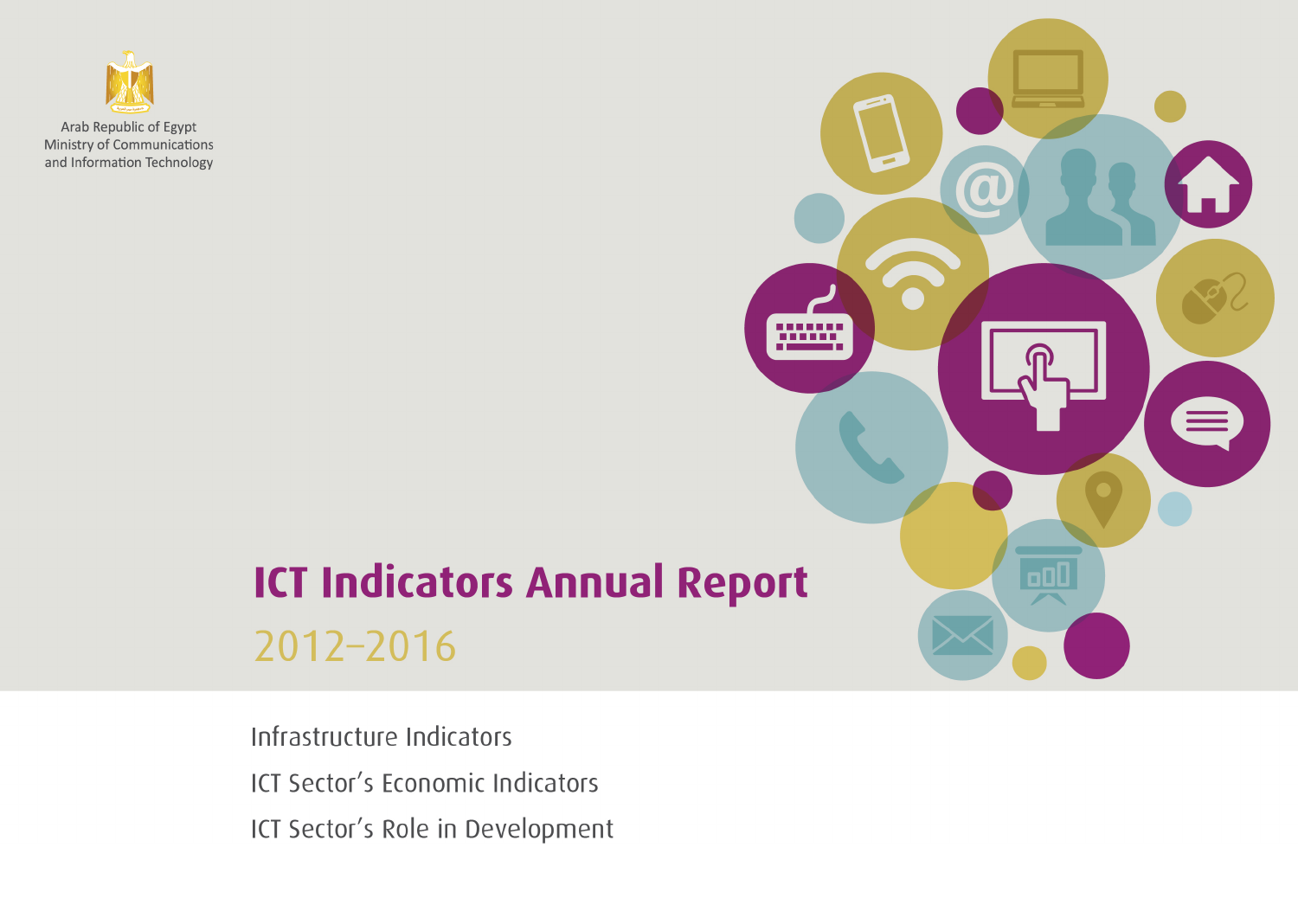

# **ICT Indicators Annual Report** 2012-2016

Infrastructure Indicators ICT Sector's Economic Indicators ICT Sector's Role in Development

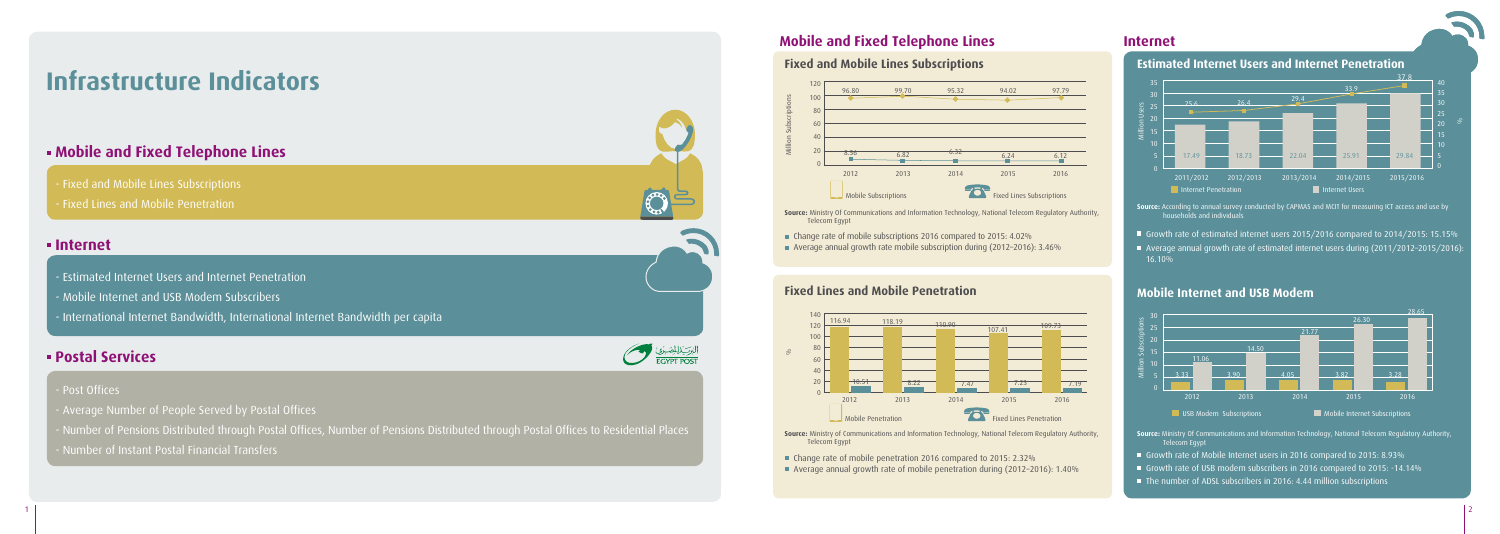# **Mobile and Fixed Telephone Lines Internet**

- Fixed and Mobile Lines Subscriptions
- Fixed Lines and Mobile Penetration

# **Infrastructure Indicators**

# **Mobile and Fixed Telephone Lines**

# **Internet**

- Estimated Internet Users and Internet Penetration
- Mobile Internet and USB Modem Subscribers
- International Internet Bandwidth, International Internet Bandwidth per capita

# **Postal Services**

### - Post Offices

- Growth rate of estimated internet users 2015/2016 compared to 2014/2015: 15.15%
- Average annual growth rate of estimated internet users during (2011/2012–2015/2016): 16.10%

- Average Number of People Served by Postal Offices
- Number of Pensions Distributed through Postal Offices, Number of Pensions Distributed through Postal Offices to Residential Places
- Number of Instant Postal Financial Transfers





**Source:** According to annual survey conducted by CAPMAS and MCIT for measuring ICT access and use by households and individuals

## **Estimated Internet Users and Internet Penetration**

**Source:** Ministry Of Communications and Information Technology, National Telecom Regulatory Authority, Telecom Egypt

- Growth rate of Mobile Internet users in 2016 compared to 2015: 8.93%
- Growth rate of USB modem subscribers in 2016 compared to 2015: -14.14%
- $\blacksquare$  The number of ADSL subscribers in 2016: 4.44 million subscriptions

### **Mobile Internet and USB Modem**

**Source:** Ministry of Communications and Information Technology, National Telecom Regulatory Authority,

Telecom Egypt

Change rate of mobile penetration 2016 compared to 2015: 2.32%

Average annual growth rate of mobile penetration during (2012–2016): 1.40%

# **Fixed Lines and Mobile Penetration**

**Source:** Ministry Of Communications and Information Technology, National Telecom Regulatory Authority,

- Telecom Egypt
- Change rate of mobile subscriptions 2016 compared to 2015: 4.02% Average annual growth rate mobile subscription during (2012–2016): 3.46%

## **Fixed and Mobile Lines Subscriptions**



Million Subscriptions

 $\leq$ 





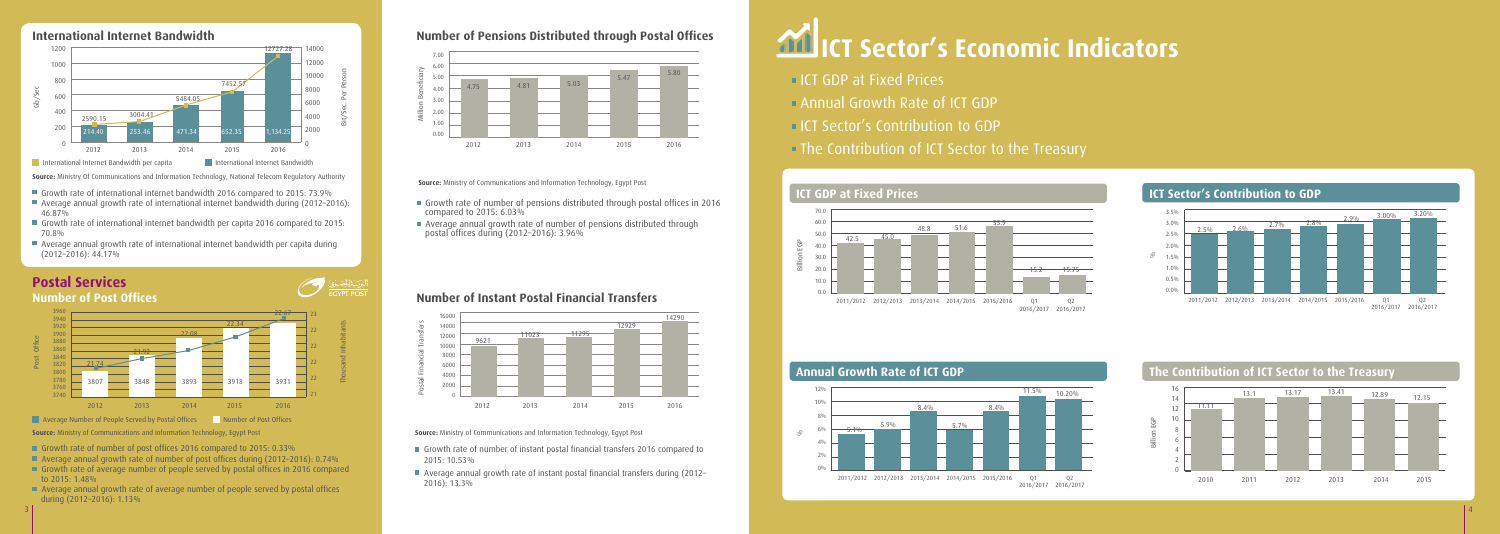#### **Source:** Ministry Of Communications and Information Technology, National Telecom Regulatory Authority

- Growth rate of international internet bandwidth 2016 compared to 2015: 73.9%
- Average annual growth rate of international internet bandwidth during (2012–2016): 46.87%
- Growth rate of international internet bandwidth per capita 2016 compared to 2015: 70.8%

بركي المصبوع المستعمر

 Average annual growth rate of international internet bandwidth per capita during (2012–2016): 44.17%

- Growth rate of number of post offices 2016 compared to 2015: 0.33%
- Average annual growth rate of number of post offices during (2012-2016): 0.74%
- Growth rate of average number of people served by postal offices in 2016 compared to  $2015: 1.48\%$
- Average annual growth rate of average number of people served by postal offices during (2012–2016): 1.13%
- Growth rate of number of instant postal financial transfers 2016 compared to 2015: 10.53%
- Average annual growth rate of instant postal financial transfers during (2012– 2016): 13.3%

- **ICT GDP at Fixed Prices**
- Annual Growth Rate of ICT GDP
- **ICT Sector's Contribution to GDP**
- The Contribution of ICT Sector to the Treasury

**Source:** Ministry of Communications and Information Technology, Egypt Post

- Growth rate of number of pensions distributed through postal offices in 2016 compared to 2015: 6.03%
- Average annual growth rate of number of pensions distributed through postal offices during (2012–2016): 3.96%





# **Number of Post Offices**

**Source:** Ministry of Communications and Information Technology, Egypt Post



# Imber of Pensions Distributed through Postal Offices **And ICT Sector's Economic Indicators**

- 
- 

# **Number of Instant Postal Financial Transfers**

**Source:** Ministry of Communications and Information Technology, Egypt Post



# **Number of Pensions Distributed through Postal Offices**



3

### **ICT Sector's Contribution to GDP**



#### **The Contribution of ICT Sector to the Treasury**



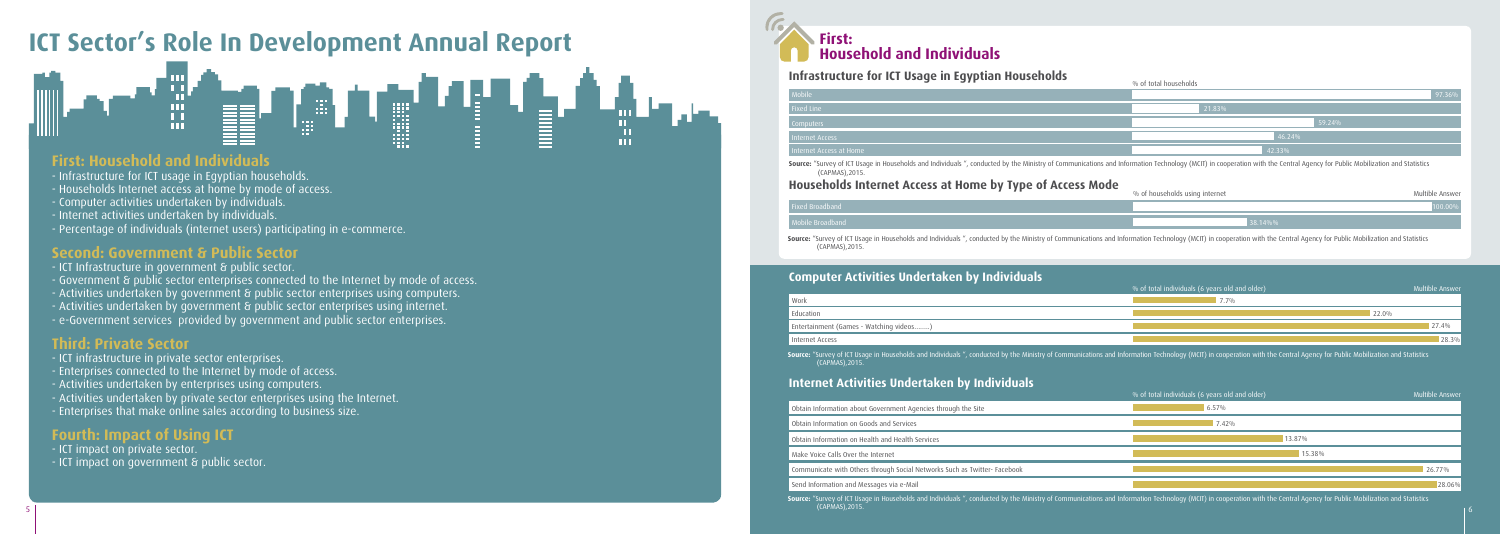# **Infrastructure for ICT Usage in Egyptian Households**

| Mobile                  |
|-------------------------|
| Fixed Line              |
| Computers               |
| <b>Internet Access</b>  |
| Internet Access at Home |
|                         |

# **ICT Sector's Role In Development Annual Report**



# **First: Household and Individuals**

- Infrastructure for ICT usage in Egyptian households.
- Households Internet access at home by mode of access.
- Computer activities undertaken by individuals.
- Internet activities undertaken by individuals.
- Percentage of individuals (internet users) participating in e-commerce.

# **Second: Government & Public Sector**

- ICT Infrastructure in government & public sector.
- Government & public sector enterprises connected to the Internet by mode of access.
- Activities undertaken by government & public sector enterprises using computers.
- Activities undertaken by government & public sector enterprises using internet.
- e-Government services provided by government and public sector enterprises.

# **Third: Private Sector**

- ICT infrastructure in private sector enterprises.
- Enterprises connected to the Internet by mode of access.
- Activities undertaken by enterprises using computers.
- Activities undertaken by private sector enterprises using the Internet.
- Enterprises that make online sales according to business size.

# **Fourth: Impact of Using ICT**

- ICT impact on private sector.
- ICT impact on government & public sector.



# **Internet Activities Undertaken by Individuals**

Obtain Information about Government Ag

Obtain Information on Goods and Services

 $\overline{a}$  Obtain Information on Health and Health

| -<br>---                | % of total households |
|-------------------------|-----------------------|
| Mobile                  | 97.36%                |
| <b>Fixed Line</b>       | 21.83%                |
| Computers               | 59.24%                |
| <b>Internet Access</b>  | 46.24%                |
| Internet Access at Home | 42.33%                |
|                         |                       |

Source: "Survey of ICT Usage in Households and Individuals ", conducted by the Ministry of Communications and Information Technology (MCIT) in cooperation with the Central Agency for Public Mobilization and Statistics

(CAPMAS),2015.

# **Households Internet Access at Home by Type of Access Mode**

#### ixed Broadband

|                                    | % of total individuals (6 years old and older) | Multible Answer |
|------------------------------------|------------------------------------------------|-----------------|
| encies through the Site            | 6.57%                                          |                 |
|                                    | 7.42%                                          |                 |
| Services                           | 13.87%                                         |                 |
|                                    | 15.38%                                         |                 |
| Networks Such as Twitter- Facebook |                                                | 26.77%          |
|                                    |                                                | 28.06%          |

Source: "Survey of ICT Usage in Households and Individuals ", conducted by the Ministry of Communications and Information Technology (MCIT) in cooperation with the Central Agency for Public Mobilization and Statistics

Mobile Broadband

| Work                                    |
|-----------------------------------------|
| Education                               |
| Entertainment (Games - Watching videos) |
| Internet Access                         |
|                                         |

| dertaken by Individuals |                                                           |                 |
|-------------------------|-----------------------------------------------------------|-----------------|
|                         | $\sqrt{ }$ % of total individuals (6 years old and older) | Multible Answer |
|                         | $7.7\%$                                                   |                 |
|                         | 22.0%                                                     |                 |
| .                       |                                                           | 27.4%           |
|                         |                                                           | 28.3%           |

**Source:** "Survey of ICT Usage in Households and Individuals ", conducted by the Ministry of Communications and Information Technology (MCIT) in cooperation with the Central Agency for Public Mobilization and Statistics<br>(C

Make Voice Calls Over the Internet

Communicate with Others through Social

Send Information and Messages via e-Ma

| -- | f households using internet | Multible A<br>nswer |
|----|-----------------------------|---------------------|
|    |                             |                     |
|    | 38.14%%                     |                     |
|    |                             |                     |

Source: "Survey of ICT Usage in Households and Individuals", conducted by the Ministry of Communications and Information Technology (MCIT) in cooperation with the Central Agency for Public Mobilization and Statistics

(CAPMAS),2015.

# **Computer Activities Under**

(CAPMAS),2015.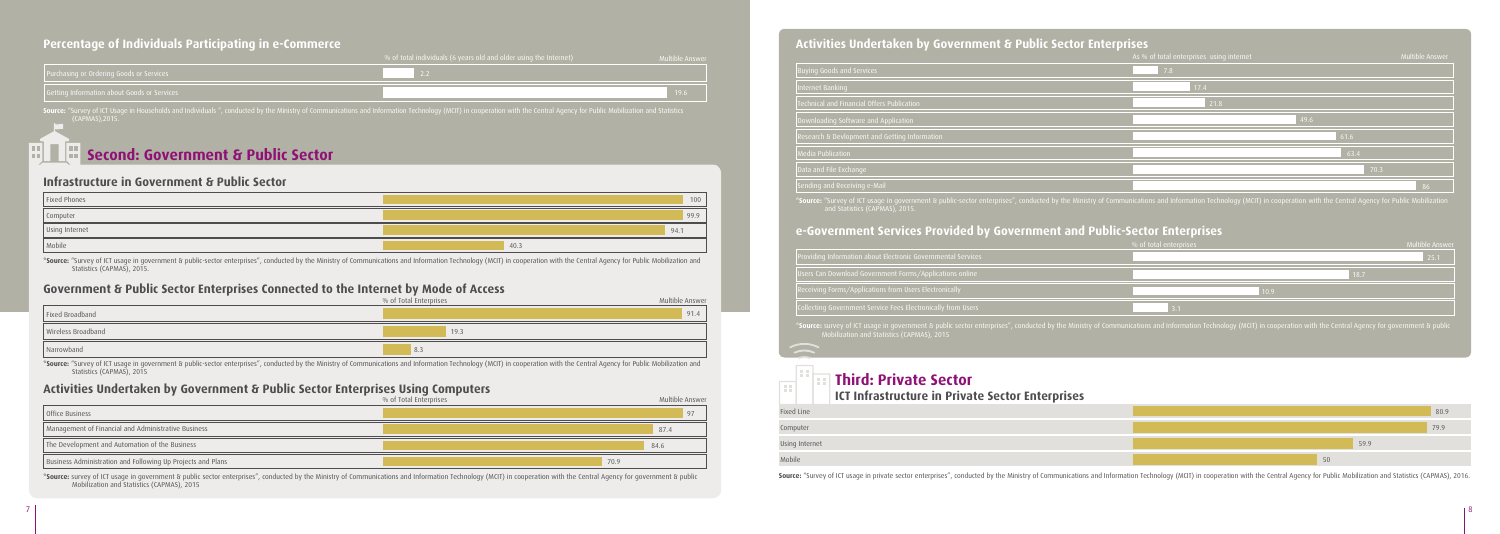### **Activities Undertaken by Government & Public Sector Enterprises**

#### **Second: Government & Public Sector** liit L

|           | <b>Buying Goods and Services</b>                                                     |
|-----------|--------------------------------------------------------------------------------------|
|           | Internet Banking                                                                     |
|           | <b>Technical and Financial Offers Publication</b>                                    |
|           | Downloading Software and Application                                                 |
|           | Research & Devlopment and Getting Info                                               |
|           | Media Publication                                                                    |
|           | Data and File Exchange                                                               |
|           | Sending and Receiving e-Mail                                                         |
|           | *Source: "Survey of ICT usage in governm<br>and Statistics (CAPMAS), 2015.           |
|           | e-Government Service:                                                                |
|           | Providing Information about Electronic Go                                            |
|           | Users Can Download Government Forms,                                                 |
|           | Receiving Forms/Applications from Users                                              |
|           | <b>Collecting Government Service Fees Elect</b>                                      |
|           | <b>*Source:</b> survey of ICT usage in governme<br>Mobilization and Statistics (CAPN |
|           |                                                                                      |
| ÷F        | <b>Third: Privat</b><br>H<br>ICT Infrastructur                                       |
| ixed Line |                                                                                      |
| computor  |                                                                                      |

| Computer       |
|----------------|
| Using Internet |
| Mobile         |

Source: "Survey of ICT usage in private sector enterprises", conducted by the Ministry of Communications and Information Technology (MCIT) in cooperation with the Central Agency for Public Mobilization and Statistics (CAPM

\*Source: "Survey of ICT usage in government & public-sector enterprises", conducted by the Ministry of Communications and Information Technology (MCIT) in cooperation with the Central Agency for Public Mobilization and Statistics (CAPMAS), 2015

|                                             | $\sqrt{ }$ % of total individuals (6 years old and older using the Internet) $\sqrt{ }$ | Nultible Answer |                          | AS % OF total enterprises USII |
|---------------------------------------------|-----------------------------------------------------------------------------------------|-----------------|--------------------------|--------------------------------|
| Purchasing or Ordering Goods or Services    |                                                                                         |                 | uying Goods and Services |                                |
| Getting Information about Goods or Services |                                                                                         |                 | Internet Bank            |                                |
|                                             |                                                                                         |                 |                          |                                |

### **Percentage of Individuals Participating in e-Commerce**

#### **Infrastructure in Government & Public Sector**

### **Activities Undertaken by Government & Public Sector Enterprises Using Computers**

#### **Government & Public Sector Enterprises Connected to the Internet by Mode of Access**

| __<br>.  | As % of total enterprises using internet |      | Multible Answer |
|----------|------------------------------------------|------|-----------------|
|          | 7.8                                      |      |                 |
|          | 17.4                                     |      |                 |
| n.       | 21.8                                     |      |                 |
|          |                                          | 49.6 |                 |
| ormation |                                          | 61.6 |                 |
|          |                                          | 63.4 |                 |
|          |                                          | 70.3 |                 |
|          |                                          |      | 86              |

nt & public-sector enterprises", conducted by the Ministry of Communications and Information Technology (MCIT) in cooperation with the Central Agency for Public Mobilization

## **Provided by Government and Public-Sector Enterprises**

|                                                              | % of total enterprises | Multible Answer |
|--------------------------------------------------------------|------------------------|-----------------|
| Providing Information about Electronic Governmental Services |                        | 25.1            |
| Users Can Download Government Forms/Applications online      | 18.7                   |                 |
| Receiving Forms/Applications from Users Electronically       | 10.9 <sub>1</sub>      |                 |
| Collecting Government Service Fees Electronically from Users |                        |                 |
|                                                              |                        |                 |

es", conducted by the Ministry of Communications and Information Technology (MCIT) in cooperation with the Central Agency for government & public

# te Sector

#### **ICT In Private Sector Enterprises**

**\*Source:** survey of ICT usage in government & public sector enterprises", conducted by the Ministry of Communications and Information Technology (MCIT) in cooperation with the Central Agency for government & public Mobilization and Statistics (CAPMAS), 2015

| Fixed Phones   | 100  |
|----------------|------|
| Computer       | 99.9 |
| Using Internet | 94.1 |
| Mobile         | 40.3 |

\*Source: "Survey of ICT usage in government & public-sector enterprises", conducted by the Ministry of Communications and Information Technology (MCIT) in cooperation with the Central Agency for Public Mobilization and Statistics (CAPMAS), 2015.

|                                                             | % of Total Enterprises | Multible Answer |
|-------------------------------------------------------------|------------------------|-----------------|
| Office Business                                             |                        |                 |
| Management of Financial and Administrative Business         |                        | 87.4            |
| The Development and Automation of the Business              |                        | 84.6            |
| Business Administration and Following Up Projects and Plans |                        | 70.9            |



| $\sim$         |      |
|----------------|------|
| Fixed Line     | 80.9 |
| Computer       | 79.9 |
| Using Internet | 59.9 |
| Mobile         | 50   |

(CAPMAS),2015.